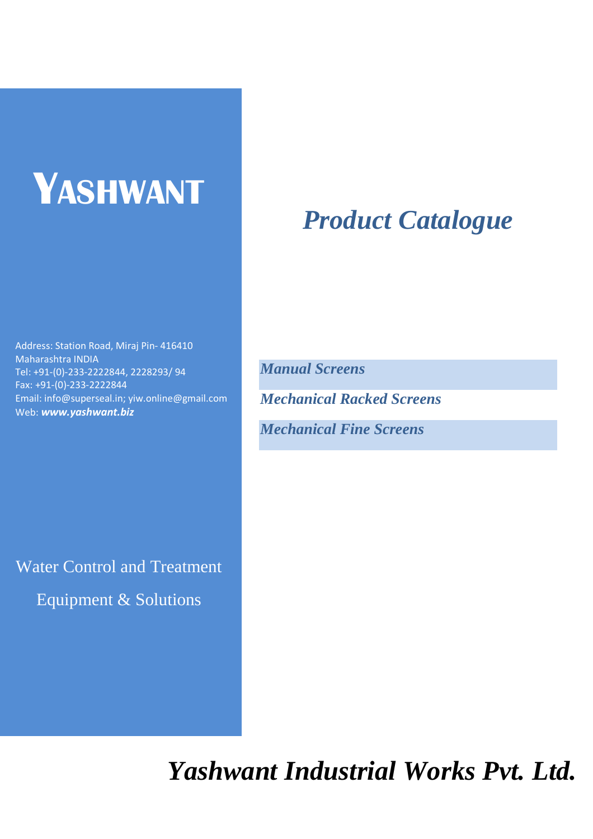# **YASHWANT**

## Address: Station Road, Miraj Pin- 416410 Maharashtra INDIA Tel: +91-(0)-233-2222844, 2228293/ 94 Fax: +91-(0)-233-2222844 Email: info@superseal.in; yiw.online@gmail.com Web: *www.yashwant.biz*

Water Control and Treatment Equipment & Solutions

## *Product Catalogue*

*Manual Screens* 

*Mechanical Racked Screens* 

*Mechanical Fine Screens* 

*Yashwant Industrial Works Pvt. Ltd.*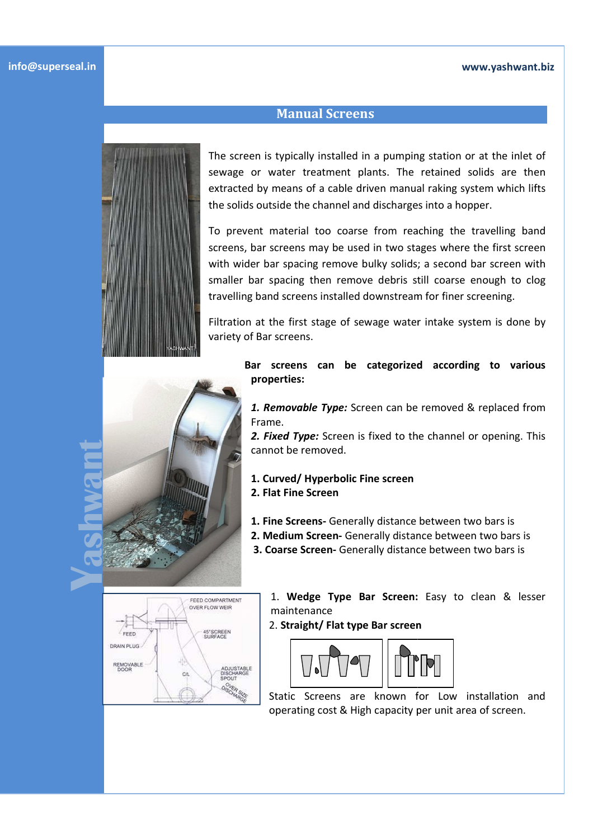## **www.yashwant.biz**

The screen is typically installed in a pumping station or at the inlet of sewage or water treatment plants. The retained solids are then extracted by means of a cable driven manual raking system which lifts the solids outside the channel and discharges into a hopper.

**Manual Screens** 

To prevent material too coarse from reaching the travelling band screens, bar screens may be used in two stages where the first screen with wider bar spacing remove bulky solids; a second bar screen with smaller bar spacing then remove debris still coarse enough to clog travelling band screens installed downstream for finer screening. bar screens may be used in two stages where the first screen<br>ler bar spacing remove bulky solids; a second bar screen with<br>bar spacing then remove debris still coarse enough to clog e the channel and discharges into a hopper.<br>
terial too coarse from reaching the travelling band<br>
eens may be used in two stages where the first screen<br>
spacing remove bulky solids; a second bar screen with<br>
cing then remo

Filtration at the first stage of sewage water intake system is done by variety of Bar screens.

> Bar screens can be categorized according to various **properties:**

*1. Removable Type:* Screen can be removed & replaced from Frame.

*2. Fixed Type:* Screen is fixed to the channel or opening. This cannot be removed. be removed & replaced f<br>the channel or opening.<br>**••**<br> **••**<br>
ce between two bars is

- **1. Curved/ Hyperbolic Fine screen 2. Flat Fine Screen** 
	-
- **1. Fine Screens-** Generally distance between two bars is
- **2. Medium Screen-** Generally distance between two bars is
- **3. Coarse Screen-** Generally distance between two bars is



1. Wedge Type Bar Screen: Easy to clean & lesser maintenance

2. **Straight/ Flat type Bar screen**



Static Screens are known for Low installation and operating cost & High capacity per unit area of screen.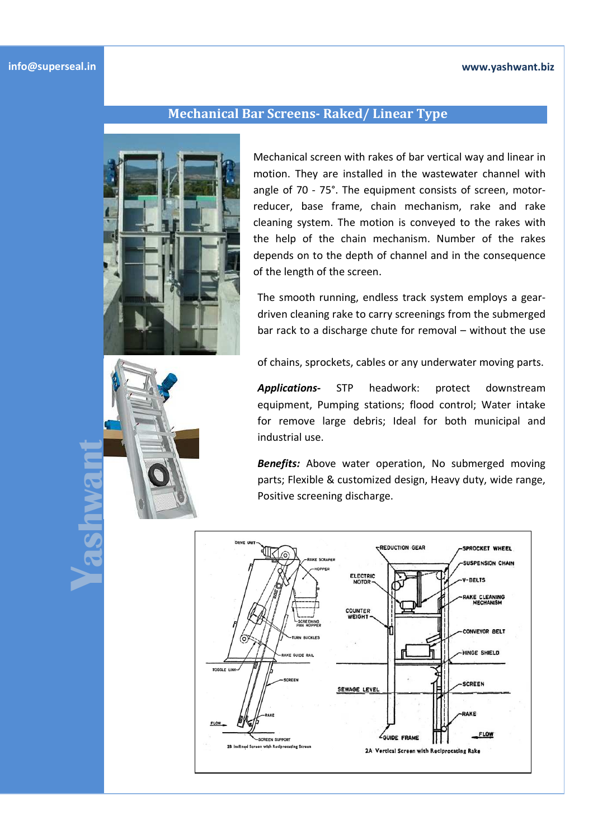## **www.yashwant.biz**

**Yashwant**

## **Mechanical Bar Screens- Raked/ Linear Type**



Mechanical screen with rakes of bar vertical way and linear in motion. They are installed in the wastewater channel with angle of 70 - 75°. The equipment consists of screen, motorreducer, base frame, chain mechanism, rake and rake cleaning system. The motion is conveyed to the rakes with the help of the chain mechanism. Number of the rakes depends on to the depth of channel and in the consequence of the length of the screen.

The smooth running, endless track system employs a geardriven cleaning rake to carry screenings from the submerged bar rack to a discharge chute for removal – without the use

of chains, sprockets, cables or any underwater moving parts.

*Applications-* STP headwork: protect downstream equipment, Pumping stations; flood control; Water intake for remove large debris; Ideal for both municipal and industrial use.

**Benefits:** Above water operation, No submerged moving parts; Flexible & customized design, Heavy duty, wide range, Positive screening discharge.